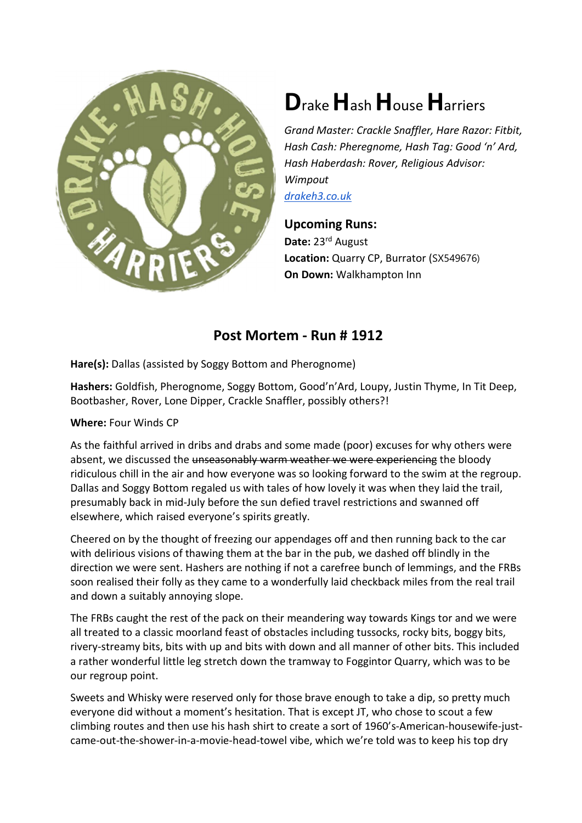

## Drake Hash House Harriers

Grand Master: Crackle Snaffler, Hare Razor: Fitbit, Hash Cash: Pheregnome, Hash Tag: Good 'n' Ard, Hash Haberdash: Rover, Religious Advisor: Wimpout drakeh3.co.uk

Upcoming Runs: Date: 23rd August Location: Quarry CP, Burrator (SX549676) On Down: Walkhampton Inn

## Post Mortem - Run # 1912

Hare(s): Dallas (assisted by Soggy Bottom and Pherognome)

Hashers: Goldfish, Pherognome, Soggy Bottom, Good'n'Ard, Loupy, Justin Thyme, In Tit Deep, Bootbasher, Rover, Lone Dipper, Crackle Snaffler, possibly others?!

## Where: Four Winds CP

As the faithful arrived in dribs and drabs and some made (poor) excuses for why others were absent, we discussed the unseasonably warm weather we were experiencing the bloody ridiculous chill in the air and how everyone was so looking forward to the swim at the regroup. Dallas and Soggy Bottom regaled us with tales of how lovely it was when they laid the trail, presumably back in mid-July before the sun defied travel restrictions and swanned off elsewhere, which raised everyone's spirits greatly.

Cheered on by the thought of freezing our appendages off and then running back to the car with delirious visions of thawing them at the bar in the pub, we dashed off blindly in the direction we were sent. Hashers are nothing if not a carefree bunch of lemmings, and the FRBs soon realised their folly as they came to a wonderfully laid checkback miles from the real trail and down a suitably annoying slope.

The FRBs caught the rest of the pack on their meandering way towards Kings tor and we were all treated to a classic moorland feast of obstacles including tussocks, rocky bits, boggy bits, rivery-streamy bits, bits with up and bits with down and all manner of other bits. This included a rather wonderful little leg stretch down the tramway to Foggintor Quarry, which was to be our regroup point.

Sweets and Whisky were reserved only for those brave enough to take a dip, so pretty much everyone did without a moment's hesitation. That is except JT, who chose to scout a few climbing routes and then use his hash shirt to create a sort of 1960's-American-housewife-justcame-out-the-shower-in-a-movie-head-towel vibe, which we're told was to keep his top dry